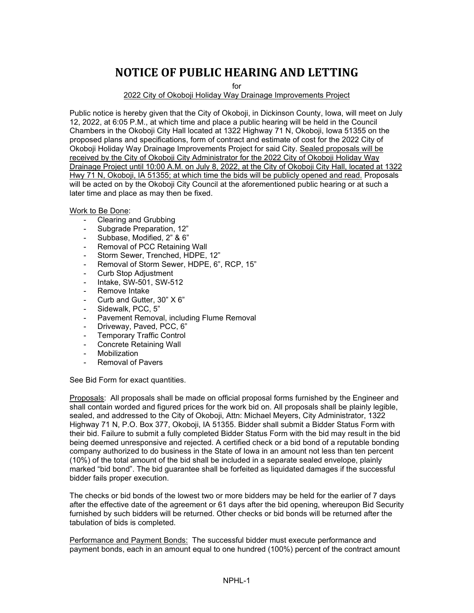## **NOTICE OF PUBLIC HEARING AND LETTING**

for

## 2022 City of Okoboji Holiday Way Drainage Improvements Project

Public notice is hereby given that the City of Okoboji, in Dickinson County, Iowa, will meet on July 12, 2022, at 6:05 P.M., at which time and place a public hearing will be held in the Council Chambers in the Okoboji City Hall located at 1322 Highway 71 N, Okoboji, Iowa 51355 on the proposed plans and specifications, form of contract and estimate of cost for the 2022 City of Okoboji Holiday Way Drainage Improvements Project for said City. Sealed proposals will be received by the City of Okoboji City Administrator for the 2022 City of Okoboji Holiday Way Drainage Project until 10:00 A.M. on July 8, 2022, at the City of Okoboji City Hall, located at 1322 Hwy 71 N, Okoboji, IA 51355; at which time the bids will be publicly opened and read. Proposals will be acted on by the Okoboji City Council at the aforementioned public hearing or at such a later time and place as may then be fixed.

Work to Be Done:

- Clearing and Grubbing
- Subgrade Preparation, 12"
- Subbase, Modified, 2" & 6"
- Removal of PCC Retaining Wall
- Storm Sewer, Trenched, HDPE, 12"
- Removal of Storm Sewer, HDPE, 6", RCP, 15"
- Curb Stop Adjustment
- Intake, SW-501, SW-512
- Remove Intake
- Curb and Gutter, 30" X 6"
- Sidewalk, PCC, 5"
- Pavement Removal, including Flume Removal
- Driveway, Paved, PCC, 6"
- Temporary Traffic Control
- Concrete Retaining Wall
- **Mobilization**
- Removal of Pavers

See Bid Form for exact quantities.

Proposals: All proposals shall be made on official proposal forms furnished by the Engineer and shall contain worded and figured prices for the work bid on. All proposals shall be plainly legible, sealed, and addressed to the City of Okoboji, Attn: Michael Meyers, City Administrator, 1322 Highway 71 N, P.O. Box 377, Okoboji, IA 51355. Bidder shall submit a Bidder Status Form with their bid. Failure to submit a fully completed Bidder Status Form with the bid may result in the bid being deemed unresponsive and rejected. A certified check or a bid bond of a reputable bonding company authorized to do business in the State of Iowa in an amount not less than ten percent (10%) of the total amount of the bid shall be included in a separate sealed envelope, plainly marked "bid bond". The bid guarantee shall be forfeited as liquidated damages if the successful bidder fails proper execution.

The checks or bid bonds of the lowest two or more bidders may be held for the earlier of 7 days after the effective date of the agreement or 61 days after the bid opening, whereupon Bid Security furnished by such bidders will be returned. Other checks or bid bonds will be returned after the tabulation of bids is completed.

Performance and Payment Bonds: The successful bidder must execute performance and payment bonds, each in an amount equal to one hundred (100%) percent of the contract amount